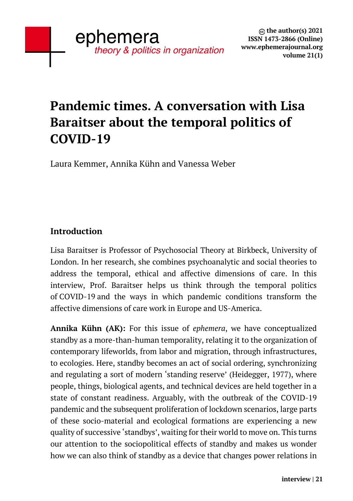## **Pandemic times. A conversation with Lisa Baraitser about the temporal politics of COVID-19**

Laura Kemmer, Annika Kühn and Vanessa Weber

## **Introduction**

Lisa Baraitser is Professor of Psychosocial Theory at Birkbeck, University of London. In her research, she combines psychoanalytic and social theories to address the temporal, ethical and affective dimensions of care. In this interview, Prof. Baraitser helps us think through the temporal politics of COVID-19 and the ways in which pandemic conditions transform the affective dimensions of care work in Europe and US-America.

**Annika Kühn (AK):** For this issue of *ephemera*, we have conceptualized standby as a more-than-human temporality, relating it to the organization of contemporary lifeworlds, from labor and migration, through infrastructures, to ecologies. Here, standby becomes an act of social ordering, synchronizing and regulating a sort of modern 'standing reserve' (Heidegger, 1977), where people, things, biological agents, and technical devices are held together in a state of constant readiness. Arguably, with the outbreak of the COVID-19 pandemic and the subsequent proliferation of lockdown scenarios, large parts of these socio-material and ecological formations are experiencing a new quality of successive 'standbys', waiting for their world to move on. This turns our attention to the sociopolitical effects of standby and makes us wonder how we can also think of standby as a device that changes power relations in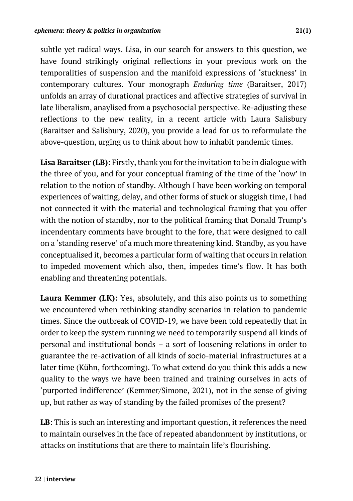subtle yet radical ways. Lisa, in our search for answers to this question, we have found strikingly original reflections in your previous work on the temporalities of suspension and the manifold expressions of 'stuckness' in contemporary cultures. Your monograph *Enduring time* (Baraitser, 2017) unfolds an array of durational practices and affective strategies of survival in late liberalism, anaylised from a psychosocial perspective. Re-adjusting these reflections to the new reality, in a recent article with Laura Salisbury (Baraitser and Salisbury, 2020), you provide a lead for us to reformulate the above-question, urging us to think about how to inhabit pandemic times.

**Lisa Baraitser (LB):** Firstly, thank you for the invitation to be in dialogue with the three of you, and for your conceptual framing of the time of the 'now' in relation to the notion of standby. Although I have been working on temporal experiences of waiting, delay, and other forms of stuck or sluggish time, I had not connected it with the material and technological framing that you offer with the notion of standby, nor to the political framing that Donald Trump's incendentary comments have brought to the fore, that were designed to call on a 'standing reserve' of a much more threatening kind. Standby, as you have conceptualised it, becomes a particular form of waiting that occurs in relation to impeded movement which also, then, impedes time's flow. It has both enabling and threatening potentials.

**Laura Kemmer (LK):** Yes, absolutely, and this also points us to something we encountered when rethinking standby scenarios in relation to pandemic times. Since the outbreak of COVID-19, we have been told repeatedly that in order to keep the system running we need to temporarily suspend all kinds of personal and institutional bonds – a sort of loosening relations in order to guarantee the re-activation of all kinds of socio-material infrastructures at a later time (Kühn, forthcoming). To what extend do you think this adds a new quality to the ways we have been trained and training ourselves in acts of 'purported indifference' (Kemmer/Simone, 2021), not in the sense of giving up, but rather as way of standing by the failed promises of the present?

**LB**: This is such an interesting and important question, it references the need to maintain ourselves in the face of repeated abandonment by institutions, or attacks on institutions that are there to maintain life's flourishing.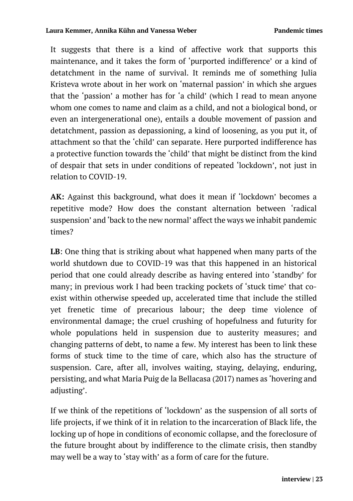It suggests that there is a kind of affective work that supports this maintenance, and it takes the form of 'purported indifference' or a kind of detatchment in the name of survival. It reminds me of something Julia Kristeva wrote about in her work on 'maternal passion' in which she argues that the 'passion' a mother has for 'a child' (which I read to mean anyone whom one comes to name and claim as a child, and not a biological bond, or even an intergenerational one), entails a double movement of passion and detatchment, passion as depassioning, a kind of loosening, as you put it, of attachment so that the 'child' can separate. Here purported indifference has a protective function towards the 'child' that might be distinct from the kind of despair that sets in under conditions of repeated 'lockdown', not just in relation to COVID-19.

**AK:** Against this background, what does it mean if 'lockdown' becomes a repetitive mode? How does the constant alternation between 'radical suspension' and 'back to the new normal' affect the ways we inhabit pandemic times?

**LB**: One thing that is striking about what happened when many parts of the world shutdown due to COVID-19 was that this happened in an historical period that one could already describe as having entered into 'standby' for many; in previous work I had been tracking pockets of 'stuck time' that coexist within otherwise speeded up, accelerated time that include the stilled yet frenetic time of precarious labour; the deep time violence of environmental damage; the cruel crushing of hopefulness and futurity for whole populations held in suspension due to austerity measures; and changing patterns of debt, to name a few. My interest has been to link these forms of stuck time to the time of care, which also has the structure of suspension. Care, after all, involves waiting, staying, delaying, enduring, persisting, and what Maria Puig de la Bellacasa (2017) names as 'hovering and adjusting'.

If we think of the repetitions of 'lockdown' as the suspension of all sorts of life projects, if we think of it in relation to the incarceration of Black life, the locking up of hope in conditions of economic collapse, and the foreclosure of the future brought about by indifference to the climate crisis, then standby may well be a way to 'stay with' as a form of care for the future.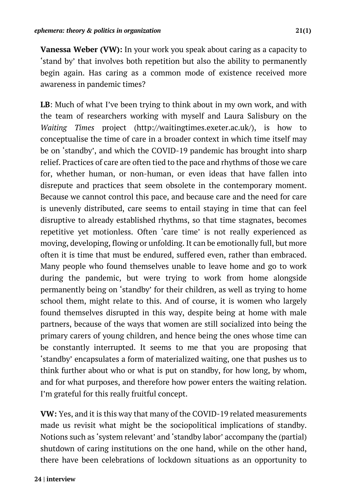**Vanessa Weber (VW):** In your work you speak about caring as a capacity to 'stand by' that involves both repetition but also the ability to permanently begin again. Has caring as a common mode of existence received more awareness in pandemic times?

**LB**: Much of what I've been trying to think about in my own work, and with the team of researchers working with myself and Laura Salisbury on the *Waiting Times* project (http://waitingtimes.exeter.ac.uk/), is how to conceptualise the time of care in a broader context in which time itself may be on 'standby', and which the COVID-19 pandemic has brought into sharp relief. Practices of care are often tied to the pace and rhythms of those we care for, whether human, or non-human, or even ideas that have fallen into disrepute and practices that seem obsolete in the contemporary moment. Because we cannot control this pace, and because care and the need for care is unevenly distributed, care seems to entail staying in time that can feel disruptive to already established rhythms, so that time stagnates, becomes repetitive yet motionless. Often 'care time' is not really experienced as moving, developing, flowing or unfolding. It can be emotionally full, but more often it is time that must be endured, suffered even, rather than embraced. Many people who found themselves unable to leave home and go to work during the pandemic, but were trying to work from home alongside permanently being on 'standby' for their children, as well as trying to home school them, might relate to this. And of course, it is women who largely found themselves disrupted in this way, despite being at home with male partners, because of the ways that women are still socialized into being the primary carers of young children, and hence being the ones whose time can be constantly interrupted. It seems to me that you are proposing that 'standby' encapsulates a form of materialized waiting, one that pushes us to think further about who or what is put on standby, for how long, by whom, and for what purposes, and therefore how power enters the waiting relation. I'm grateful for this really fruitful concept.

**VW:** Yes, and it is this way that many of the COVID-19 related measurements made us revisit what might be the sociopolitical implications of standby. Notions such as 'system relevant' and 'standby labor' accompany the (partial) shutdown of caring institutions on the one hand, while on the other hand, there have been celebrations of lockdown situations as an opportunity to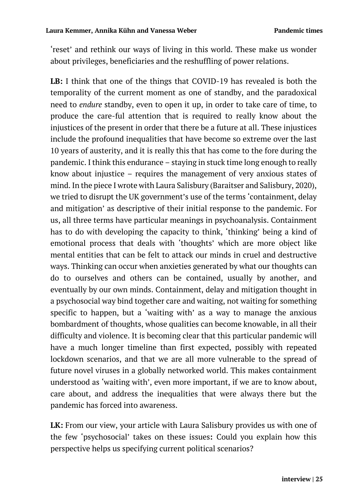'reset' and rethink our ways of living in this world. These make us wonder about privileges, beneficiaries and the reshuffling of power relations.

**LB:** I think that one of the things that COVID-19 has revealed is both the temporality of the current moment as one of standby, and the paradoxical need to *endure* standby, even to open it up, in order to take care of time, to produce the care-ful attention that is required to really know about the injustices of the present in order that there be a future at all. These injustices include the profound inequalities that have become so extreme over the last 10 years of austerity, and it is really this that has come to the fore during the pandemic. I think this endurance – staying in stuck time long enough to really know about injustice – requires the management of very anxious states of mind. In the piece I wrote with Laura Salisbury (Baraitser and Salisbury, 2020), we tried to disrupt the UK government's use of the terms 'containment, delay and mitigation' as descriptive of their initial response to the pandemic. For us, all three terms have particular meanings in psychoanalysis. Containment has to do with developing the capacity to think, 'thinking' being a kind of emotional process that deals with 'thoughts' which are more object like mental entities that can be felt to attack our minds in cruel and destructive ways. Thinking can occur when anxieties generated by what our thoughts can do to ourselves and others can be contained, usually by another, and eventually by our own minds. Containment, delay and mitigation thought in a psychosocial way bind together care and waiting, not waiting for something specific to happen, but a 'waiting with' as a way to manage the anxious bombardment of thoughts, whose qualities can become knowable, in all their difficulty and violence. It is becoming clear that this particular pandemic will have a much longer timeline than first expected, possibly with repeated lockdown scenarios, and that we are all more vulnerable to the spread of future novel viruses in a globally networked world. This makes containment understood as 'waiting with', even more important, if we are to know about, care about, and address the inequalities that were always there but the pandemic has forced into awareness.

**LK:** From our view, your article with Laura Salisbury provides us with one of the few 'psychosocial' takes on these issues**:** Could you explain how this perspective helps us specifying current political scenarios?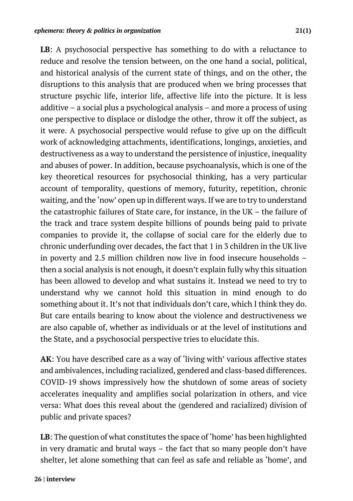**LB**: A psychosocial perspective has something to do with a reluctance to reduce and resolve the tension between, on the one hand a social, political, and historical analysis of the current state of things, and on the other, the disruptions to this analysis that are produced when we bring processes that structure psychic life, interior life, affective life into the picture. It is less additive – a social plus a psychological analysis – and more a process of using one perspective to displace or dislodge the other, throw it off the subject, as it were. A psychosocial perspective would refuse to give up on the difficult work of acknowledging attachments, identifications, longings, anxieties, and destructiveness as a way to understand the persistence of injustice, inequality and abuses of power. In addition, because psychoanalysis, which is one of the key theoretical resources for psychosocial thinking, has a very particular account of temporality, questions of memory, futurity, repetition, chronic waiting, and the 'now' open up in different ways. If we are to try to understand the catastrophic failures of State care, for instance, in the UK – the failure of the track and trace system despite billions of pounds being paid to private companies to provide it, the collapse of social care for the elderly due to chronic underfunding over decades, the fact that 1 in 3 children in the UK live in poverty and 2.5 million children now live in food insecure households – then a social analysis is not enough, it doesn't explain fully why this situation has been allowed to develop and what sustains it. Instead we need to try to understand why we cannot hold this situation in mind enough to do something about it. It's not that individuals don't care, which I think they do. But care entails bearing to know about the violence and destructiveness we are also capable of, whether as individuals or at the level of institutions and the State, and a psychosocial perspective tries to elucidate this.

**AK**: You have described care as a way of 'living with' various affective states and ambivalences, including racialized, gendered and class-based differences. COVID-19 shows impressively how the shutdown of some areas of society accelerates inequality and amplifies social polarization in others, and vice versa: What does this reveal about the (gendered and racialized) division of public and private spaces?

**LB**: The question of what constitutes the space of 'home' has been highlighted in very dramatic and brutal ways – the fact that so many people don't have shelter, let alone something that can feel as safe and reliable as 'home', and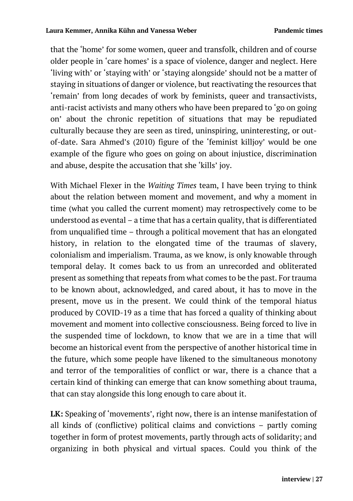that the 'home' for some women, queer and transfolk, children and of course older people in 'care homes' is a space of violence, danger and neglect. Here 'living with' or 'staying with' or 'staying alongside' should not be a matter of staying in situations of danger or violence, but reactivating the resources that 'remain' from long decades of work by feminists, queer and transactivists, anti-racist activists and many others who have been prepared to 'go on going on' about the chronic repetition of situations that may be repudiated culturally because they are seen as tired, uninspiring, uninteresting, or outof-date. Sara Ahmed's (2010) figure of the 'feminist killjoy' would be one example of the figure who goes on going on about injustice, discrimination and abuse, despite the accusation that she 'kills' joy.

With Michael Flexer in the *Waiting Times* team, I have been trying to think about the relation between moment and movement, and why a moment in time (what you called the current moment) may retrospectively come to be understood as evental – a time that has a certain quality, that is differentiated from unqualified time – through a political movement that has an elongated history, in relation to the elongated time of the traumas of slavery, colonialism and imperialism. Trauma, as we know, is only knowable through temporal delay. It comes back to us from an unrecorded and obliterated present as something that repeats from what comes to be the past. For trauma to be known about, acknowledged, and cared about, it has to move in the present, move us in the present. We could think of the temporal hiatus produced by COVID-19 as a time that has forced a quality of thinking about movement and moment into collective consciousness. Being forced to live in the suspended time of lockdown, to know that we are in a time that will become an historical event from the perspective of another historical time in the future, which some people have likened to the simultaneous monotony and terror of the temporalities of conflict or war, there is a chance that a certain kind of thinking can emerge that can know something about trauma, that can stay alongside this long enough to care about it.

**LK:** Speaking of 'movements', right now, there is an intense manifestation of all kinds of (conflictive) political claims and convictions – partly coming together in form of protest movements, partly through acts of solidarity; and organizing in both physical and virtual spaces. Could you think of the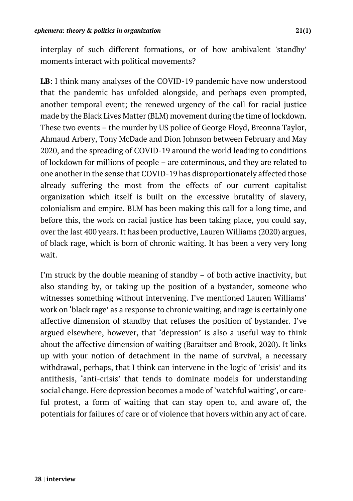interplay of such different formations, or of how ambivalent 'standby' moments interact with political movements?

**LB**: I think many analyses of the COVID-19 pandemic have now understood that the pandemic has unfolded alongside, and perhaps even prompted, another temporal event; the renewed urgency of the call for racial justice made by the Black Lives Matter (BLM) movement during the time of lockdown. These two events – the murder by US police of George Floyd, Breonna Taylor, Ahmaud Arbery, Tony McDade and Dion Johnson between February and May 2020, and the spreading of COVID-19 around the world leading to conditions of lockdown for millions of people – are coterminous, and they are related to one another in the sense that COVID-19 has disproportionately affected those already suffering the most from the effects of our current capitalist organization which itself is built on the excessive brutality of slavery, colonialism and empire. BLM has been making this call for a long time, and before this, the work on racial justice has been taking place, you could say, over the last 400 years. It has been productive, Lauren Williams (2020) argues, of black rage, which is born of chronic waiting. It has been a very very long wait.

I'm struck by the double meaning of standby – of both active inactivity, but also standing by, or taking up the position of a bystander, someone who witnesses something without intervening. I've mentioned Lauren Williams' work on 'black rage' as a response to chronic waiting, and rage is certainly one affective dimension of standby that refuses the position of bystander. I've argued elsewhere, however, that 'depression' is also a useful way to think about the affective dimension of waiting (Baraitser and Brook, 2020). It links up with your notion of detachment in the name of survival, a necessary withdrawal, perhaps, that I think can intervene in the logic of 'crisis' and its antithesis, 'anti-crisis' that tends to dominate models for understanding social change. Here depression becomes a mode of 'watchful waiting', or careful protest, a form of waiting that can stay open to, and aware of, the potentials for failures of care or of violence that hovers within any act of care.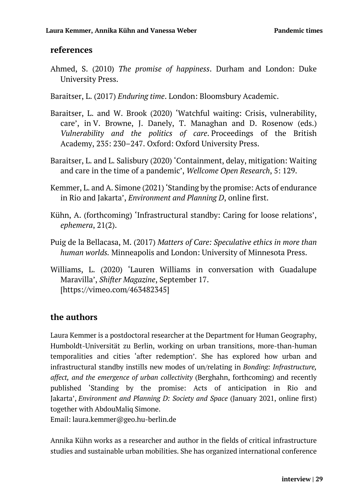## **references**

- Ahmed, S. (2010) *The promise of happiness*. Durham and London: Duke University Press.
- Baraitser, L. (2017) *Enduring time*. London: Bloomsbury Academic.
- Baraitser, L. and W. Brook (2020) 'Watchful waiting: Crisis, vulnerability, care', in V. Browne, J. Danely, T. Managhan and D. Rosenow (eds.) *Vulnerability and the politics of care*. Proceedings of the British Academy, 235: 230–247. Oxford: Oxford University Press.
- Baraitser, L. and L. Salisbury (2020) 'Containment, delay, mitigation: Waiting and care in the time of a pandemic', *Wellcome Open Research*, 5: 129.
- Kemmer, L. and A. Simone (2021) 'Standing by the promise: Acts of endurance in Rio and Jakarta', *Environment and Planning D*, online first.
- Kühn, A. (forthcoming) 'Infrastructural standby: Caring for loose relations', *ephemera*, 21(2).
- Puig de la Bellacasa, M. (2017) *Matters of Care: Speculative ethics in more than human worlds.* Minneapolis and London: University of Minnesota Press.
- Williams, L. (2020) 'Lauren Williams in conversation with Guadalupe Maravilla', *Shifter Magazine*, September 17. [https://vimeo.com/463482345]

## **the authors**

Laura Kemmer is a postdoctoral researcher at the Department for Human Geography, Humboldt-Universität zu Berlin, working on urban transitions, more-than-human temporalities and cities 'after redemption'. She has explored how urban and infrastructural standby instills new modes of un/relating in *Bonding: Infrastructure, affect, and the emergence of urban collectivity* (Berghahn, forthcoming) and recently published 'Standing by the promise: Acts of anticipation in Rio and Jakarta', *Environment and Planning D: Society and Space* (January 2021, online first) together with AbdouMaliq Simone.

Email: laura.kemmer@geo.hu-berlin.de

Annika Kühn works as a researcher and author in the fields of critical infrastructure studies and sustainable urban mobilities. She has organized international conference